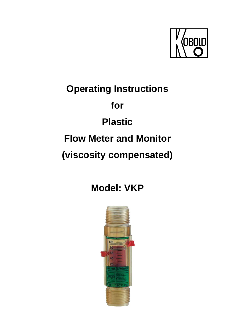

# **Operating Instructions for Plastic Flow Meter and Monitor (viscosity compensated)**

**Model: VKP** 

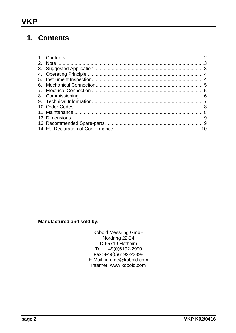## 1. Contents

**Manufactured and sold by:** 

Kobold Messring GmbH<br>Nordring 22-24 D-65719 Hofheim Tel.: +49(0)6192-2990 Fax: +49(0)6192-23398 E-Mail: info.de@kobold.com Internet: www.kobold.com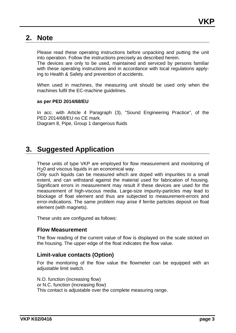### **2. Note**

Please read these operating instructions before unpacking and putting the unit into operation. Follow the instructions precisely as described herein.

The devices are only to be used, maintained and serviced by persons familiar with these operating instructions and in accordance with local regulations applying to Health & Safety and prevention of accidents.

When used in machines, the measuring unit should be used only when the machines fulfil the EC-machine guidelines.

#### **as per PED 2014/68/EU**

In acc. with Article 4 Paragraph (3), "Sound Engineering Practice", of the PED 2014/68/EU no CE mark. Diagram 8, Pipe, Group 1 dangerous fluids

## **3. Suggested Application**

These units of type VKP are employed for flow measurement and monitoring of H<sub>2</sub>0 and viscous liquids in an economical way.

Only such liquids can be measured which are doped with impurities to a small extent, and can withstand against the material used for fabrication of housing. Significant errors in measurement may result if these devices are used for the measurement of high-viscous media. Large-size impurity-particles may lead to blockage of float element and thus are subjected to measurement-errors and error-indications. The same problem may arise if ferrite particles deposit on float element (with magnets).

These units are configured as follows:

#### **Flow Measurement**

The flow reading of the current value of flow is displayed on the scale sticked on the housing. The upper edge of the float indicates the flow value.

#### **Limit-value contacts (Option)**

For the monitoring of the flow value the flowmeter can be equipped with an adjustable limit switch.

N.O. function (increasing flow) or N.C. function (increasing flow) This contact is adjustable over the complete measuring range.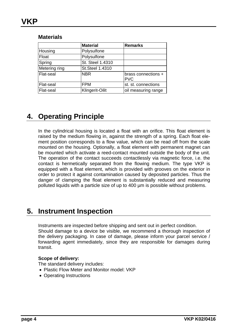|               | <b>Material</b>        | <b>Remarks</b>                    |
|---------------|------------------------|-----------------------------------|
| Housing       | Polysulfone            |                                   |
| Float         | Polysulfone            |                                   |
| Spring        | St. Steel 1.4310       |                                   |
| Metering ring | <b>St.Steel 1.4310</b> |                                   |
| Flat-seal     | <b>NBR</b>             | brass connections +<br><b>PVC</b> |
| Flat-seal     | <b>FPM</b>             | st. st. connections               |
| Flat-seal     | Klingerit-Oilit        | oil measuring range               |

#### **Materials**

# **4. Operating Principle**

In the cylindrical housing is located a float with an orifice. This float element is raised by the medium flowing in, against the strength of a spring. Each float element position corresponds to a flow value, which can be read off from the scale mounted on the housing. Optionally, a float element with permanent magnet can be mounted which activate a reed-contact mounted outside the body of the unit. The operation of the contact succeeds contactlessly via magnetic force, i.e. the contact is hermetically separated from the flowing medium. The type VKP is equipped with a float element, which is provided with grooves on the exterior in order to protect it against contamination caused by deposited particles. Thus the danger of clamping the float element is substantially reduced and measuring polluted liquids with a particle size of up to 400 µm is possible without problems.

## **5. Instrument Inspection**

Instruments are inspected before shipping and sent out in perfect condition. Should damage to a device be visible, we recommend a thorough inspection of the delivery packaging. In case of damage, please inform your parcel service / forwarding agent immediately, since they are responsible for damages during transit.

#### **Scope of delivery:**

The standard delivery includes:

- Plastic Flow Meter and Monitor model: VKP
- Operating Instructions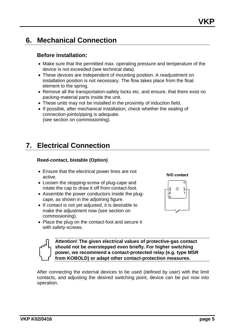## **6. Mechanical Connection**

#### **Before installation:**

- Make sure that the permitted max. operating pressure and temperature of the device is not exceeded (see technical data).
- These devices are independent of mounting position. A readjustment on installation position is not necessary. The flow takes place from the float element to the spring.
- Remove all the transportation-safety locks etc. and ensure, that there exist no packing-material parts inside the unit.
- These units may not be installed in the proximity of induction field.
- If possible, after mechanical installation, check whether the sealing of connection-joints/piping is adequate. (see section on commissioning).

# **7. Electrical Connection**

#### **Reed-contact, bistable (Option)**

- Ensure that the electrical power lines are not active.
- Loosen the stopping-screw of plug-cape and rotate the cap to draw it off from contact-foot.
- Assemble the power conductors inside the plugcape, as shown in the adjoining figure.
- If contact is not yet adjusted, it is desirable to make the adjustment now (see section on commissioning).
- Place the plug on the contact-foot and secure it with safety-screws.



**Attention! The given electrical values of protective-gas contact should not be overstepped even briefly. For higher switching power, we recommend a contact-protected relay (e.g. type MSR from KOBOLD) or adapt other contact-protection measures.** 

After connecting the external devices to be used (defined by user) with the limit contacts, and adjusting the desired switching point, device can be put now into operation.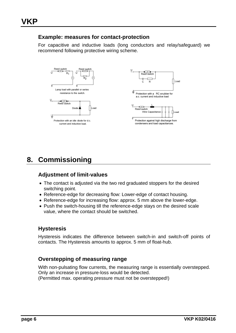#### **Example: measures for contact-protection**

For capacitive and inductive loads (long conductors and relay/safeguard) we recommend following protective wiring scheme.



## **8. Commissioning**

#### **Adjustment of limit-values**

- The contact is adjusted via the two red graduated stoppers for the desired switching point.
- Reference-edge for decreasing flow: Lower-edge of contact housing.
- Reference-edge for increasing flow: approx. 5 mm above the lower-edge.
- Push the switch-housing till the reference-edge stays on the desired scale value, where the contact should be switched.

#### **Hysteresis**

Hysteresis indicates the difference between switch-in and switch-off points of contacts. The Hysteresis amounts to approx. 5 mm of float-hub.

#### **Overstepping of measuring range**

With non-pulsating flow currents, the measuring range is essentially overstepped. Only an increase in pressure-loss would be detected. (Permitted max. operating pressure must not be overstepped!)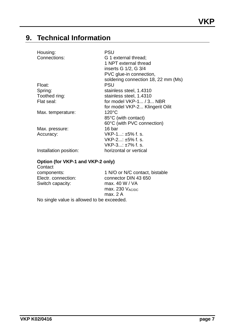# **9. Technical Information**

| Housing:                                     | PSU                                 |  |  |  |  |
|----------------------------------------------|-------------------------------------|--|--|--|--|
| Connections:                                 | G 1 external thread;                |  |  |  |  |
|                                              | 1 NPT external thread               |  |  |  |  |
|                                              | inserts G 1/2, G 3/4                |  |  |  |  |
|                                              | PVC glue-in connection,             |  |  |  |  |
|                                              | soldering connection 18, 22 mm (Ms) |  |  |  |  |
| Float:                                       | <b>PSU</b>                          |  |  |  |  |
| Spring:                                      | stainless steel, 1.4310             |  |  |  |  |
| Toothed ring:                                | stainless steel, 1.4310             |  |  |  |  |
| Flat seal:                                   | for model $VKP-1 / 3 NBR$           |  |  |  |  |
|                                              | for model VKP-2 Klingerit Oilit     |  |  |  |  |
| Max. temperature:                            | $120^{\circ}$ C                     |  |  |  |  |
|                                              | 85°C (with contact)                 |  |  |  |  |
|                                              | 60°C (with PVC connection)          |  |  |  |  |
| Max. pressure:                               | 16 bar                              |  |  |  |  |
| Accuracy:                                    | $VKP-1: \pm 5\%$ f. s.              |  |  |  |  |
|                                              | VKP-2: ±5% f. s.                    |  |  |  |  |
|                                              | $VKP-3: ±7% f. s.$                  |  |  |  |  |
| Installation position:                       | horizontal or vertical              |  |  |  |  |
|                                              |                                     |  |  |  |  |
| Option (for VKP-1 and VKP-2 only)<br>Contact |                                     |  |  |  |  |
| components:                                  | 1 N/O or N/C contact, bistable      |  |  |  |  |
| Electr. connection:                          | connector DIN 43 650                |  |  |  |  |
| Switch capacity:                             | max. $40 W / VA$                    |  |  |  |  |
|                                              | max. 230 $V_{AC/DC}$                |  |  |  |  |

max. 2 A

No single value is allowed to be exceeded.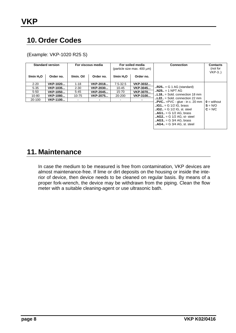# **10. Order Codes**

(Example: VKP-1020 R25 S)

| <b>Standard version</b> |           | For viscous media |           | For soiled media<br>(particle size max. 400 um) |           | <b>Connection</b>                                                                                                                                                                                                                                                                                                                         | <b>Contacts</b><br>(not for<br>$VKP-3.$ |
|-------------------------|-----------|-------------------|-----------|-------------------------------------------------|-----------|-------------------------------------------------------------------------------------------------------------------------------------------------------------------------------------------------------------------------------------------------------------------------------------------------------------------------------------------|-----------------------------------------|
| I/min H <sub>2</sub> O  | Order no. | I/min. Oil        | Order no. | I/min H <sub>2</sub> O                          | Order no. |                                                                                                                                                                                                                                                                                                                                           |                                         |
| $2 - 20$                | VKP-1020  | $1 - 18$          | VKP-2018  | $7.5 - 32.5$                                    | VKP-3032  |                                                                                                                                                                                                                                                                                                                                           |                                         |
| $5 - 35$                | VKP-1035  | $2 - 30$          | VKP-2030  | $10 - 45$                                       | VKP-3045  | $R25. = G 1 AG$ (standard)                                                                                                                                                                                                                                                                                                                |                                         |
| $5 - 50$                | VKP-1050  | $5 - 45$          | VKP-2045  | 15-70                                           | VKP-3070  | $. N25. = 1 NPT AG$                                                                                                                                                                                                                                                                                                                       |                                         |
| 10-80                   | VKP-1080  | 10-75             | VKP-2075  | 20-200                                          | VKP-3100  | $L18. =$ Sold, connection 18 mm                                                                                                                                                                                                                                                                                                           |                                         |
| 20-100                  | VKP-1100  |                   |           |                                                 |           | $L22. =$ Sold, connection 22 mm                                                                                                                                                                                                                                                                                                           | $\mathbf{0}$ = without                  |
|                         |           |                   |           |                                                 |           | $\mathbf{PVC}$ =PVC - glue - in c. 20 mm<br>$\mathbf{I} \cdot \mathbf{I} = \mathbf{G}$ 1/2 IG. brass<br>$\mathbf{I} \cdot \mathbf{I} \cdot \mathbf{G} = \mathbf{G} \cdot \frac{1}{2} \cdot \mathbf{G}$ , st. steel<br>$AG1 = G 1/2 AG$ , brass<br>$AG2 = G 1/2 AG$ , st-steel<br>$AG3 = G 3/4 AG$ , brass<br>$AG4. = G$ 3/4 AG, st, steel | $S = N/O$<br>$C = N/C$                  |

## **11. Maintenance**

In case the medium to be measured is free from contamination, VKP devices are almost maintenance-free. If lime or dirt deposits on the housing or inside the interior of device, then device needs to be cleaned on regular basis. By means of a proper fork-wrench, the device may be withdrawn from the piping. Clean the flow meter with a suitable cleaning-agent or use ultrasonic bath.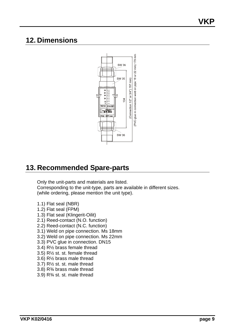## **12. Dimensions**



# **13. Recommended Spare-parts**

Only the unit-parts and materials are listed. Corresponding to the unit-type, parts are available in different sizes. (while ordering, please mention the unit type).

- 1.1) Flat seal (NBR)
- 1.2) Flat seal (FPM)
- 1.3) Flat seal (Klingerit-Oilit)
- 2.1) Reed-contact (N.O. function)
- 2.2) Reed-contact (N.C. function)
- 3.1) Weld on pipe connection. Ms 18mm
- 3.2) Weld on pipe connection. Ms 22mm
- 3.3) PVC glue in connection. DN15
- 3.4) R½ brass female thread
- 3.5) R½ st. st. female thread
- 3.6) R½ brass male thread
- 3.7) R½ st. st. male thread
- 3.8) R¾ brass male thread
- 3.9) R¾ st. st. male thread